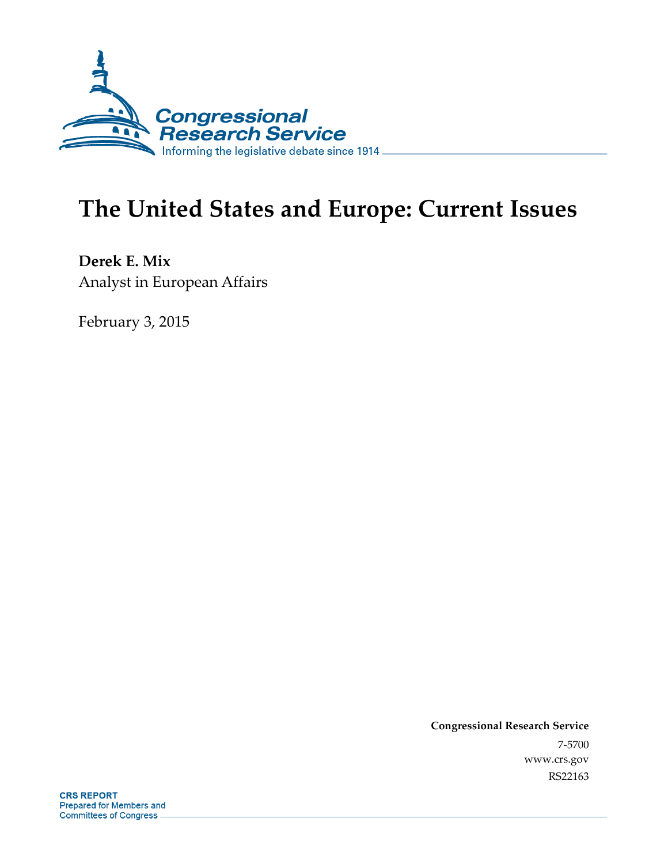

# **The United States and Europe: Current Issues**

**Derek E. Mix**  Analyst in European Affairs

February 3, 2015

**Congressional Research Service**  7-5700 www.crs.gov RS22163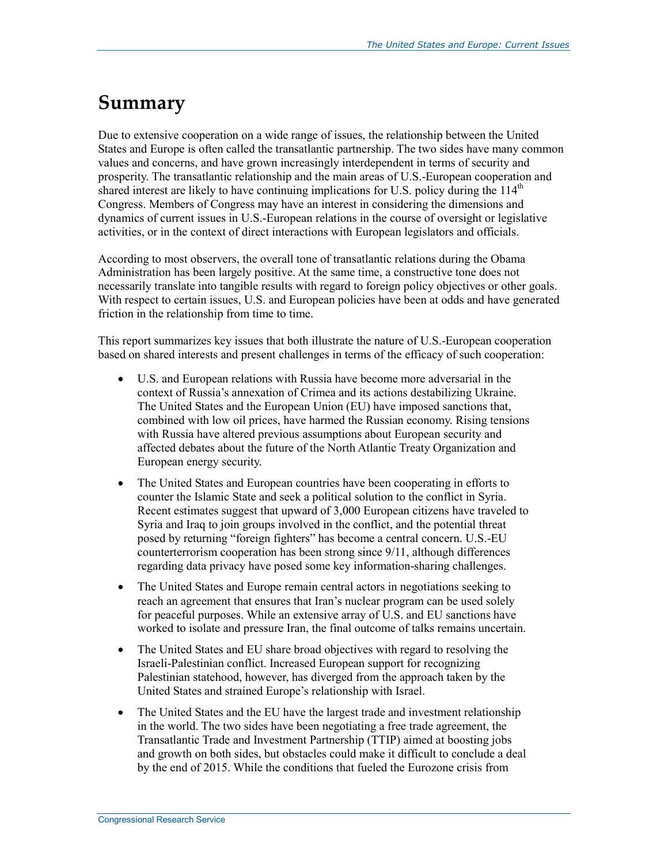### **Summary**

Due to extensive cooperation on a wide range of issues, the relationship between the United States and Europe is often called the transatlantic partnership. The two sides have many common values and concerns, and have grown increasingly interdependent in terms of security and prosperity. The transatlantic relationship and the main areas of U.S.-European cooperation and shared interest are likely to have continuing implications for U.S. policy during the  $114<sup>th</sup>$ Congress. Members of Congress may have an interest in considering the dimensions and dynamics of current issues in U.S.-European relations in the course of oversight or legislative activities, or in the context of direct interactions with European legislators and officials.

According to most observers, the overall tone of transatlantic relations during the Obama Administration has been largely positive. At the same time, a constructive tone does not necessarily translate into tangible results with regard to foreign policy objectives or other goals. With respect to certain issues, U.S. and European policies have been at odds and have generated friction in the relationship from time to time.

This report summarizes key issues that both illustrate the nature of U.S.-European cooperation based on shared interests and present challenges in terms of the efficacy of such cooperation:

- U.S. and European relations with Russia have become more adversarial in the context of Russia's annexation of Crimea and its actions destabilizing Ukraine. The United States and the European Union (EU) have imposed sanctions that, combined with low oil prices, have harmed the Russian economy. Rising tensions with Russia have altered previous assumptions about European security and affected debates about the future of the North Atlantic Treaty Organization and European energy security.
- The United States and European countries have been cooperating in efforts to counter the Islamic State and seek a political solution to the conflict in Syria. Recent estimates suggest that upward of 3,000 European citizens have traveled to Syria and Iraq to join groups involved in the conflict, and the potential threat posed by returning "foreign fighters" has become a central concern. U.S.-EU counterterrorism cooperation has been strong since 9/11, although differences regarding data privacy have posed some key information-sharing challenges.
- The United States and Europe remain central actors in negotiations seeking to reach an agreement that ensures that Iran's nuclear program can be used solely for peaceful purposes. While an extensive array of U.S. and EU sanctions have worked to isolate and pressure Iran, the final outcome of talks remains uncertain.
- The United States and EU share broad objectives with regard to resolving the Israeli-Palestinian conflict. Increased European support for recognizing Palestinian statehood, however, has diverged from the approach taken by the United States and strained Europe's relationship with Israel.
- The United States and the EU have the largest trade and investment relationship in the world. The two sides have been negotiating a free trade agreement, the Transatlantic Trade and Investment Partnership (TTIP) aimed at boosting jobs and growth on both sides, but obstacles could make it difficult to conclude a deal by the end of 2015. While the conditions that fueled the Eurozone crisis from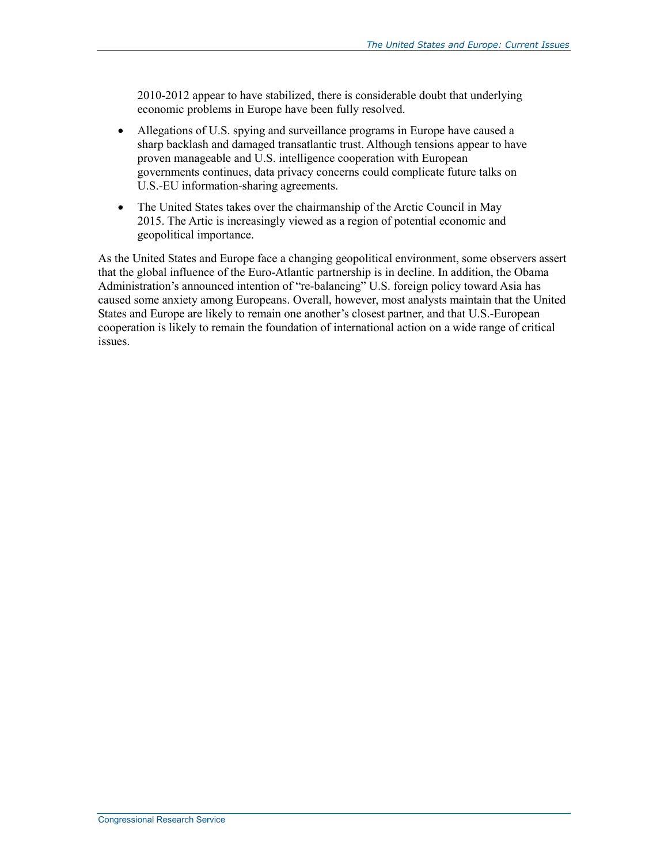2010-2012 appear to have stabilized, there is considerable doubt that underlying economic problems in Europe have been fully resolved.

- Allegations of U.S. spying and surveillance programs in Europe have caused a sharp backlash and damaged transatlantic trust. Although tensions appear to have proven manageable and U.S. intelligence cooperation with European governments continues, data privacy concerns could complicate future talks on U.S.-EU information-sharing agreements.
- The United States takes over the chairmanship of the Arctic Council in May 2015. The Artic is increasingly viewed as a region of potential economic and geopolitical importance.

As the United States and Europe face a changing geopolitical environment, some observers assert that the global influence of the Euro-Atlantic partnership is in decline. In addition, the Obama Administration's announced intention of "re-balancing" U.S. foreign policy toward Asia has caused some anxiety among Europeans. Overall, however, most analysts maintain that the United States and Europe are likely to remain one another's closest partner, and that U.S.-European cooperation is likely to remain the foundation of international action on a wide range of critical issues.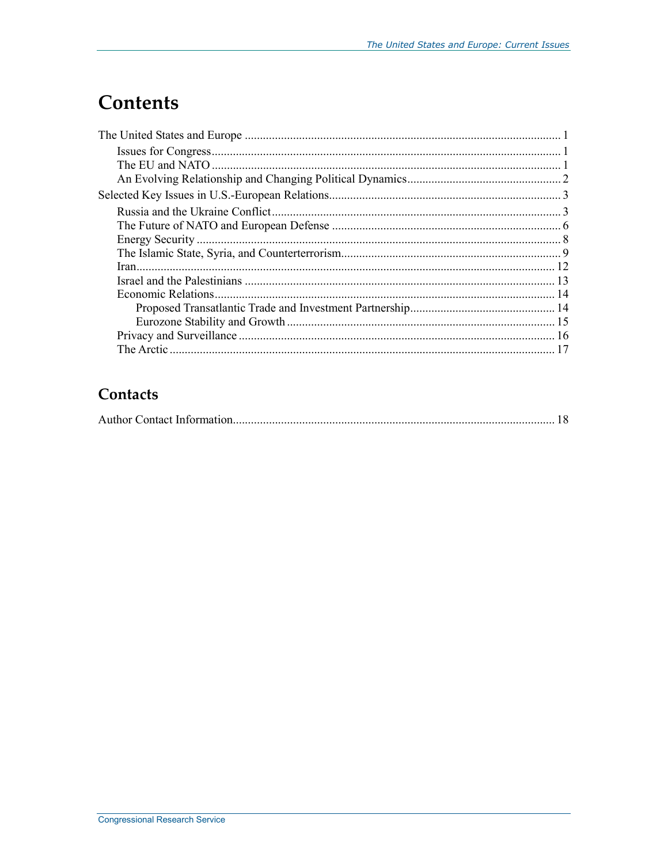## **Contents**

### Contacts

|--|--|--|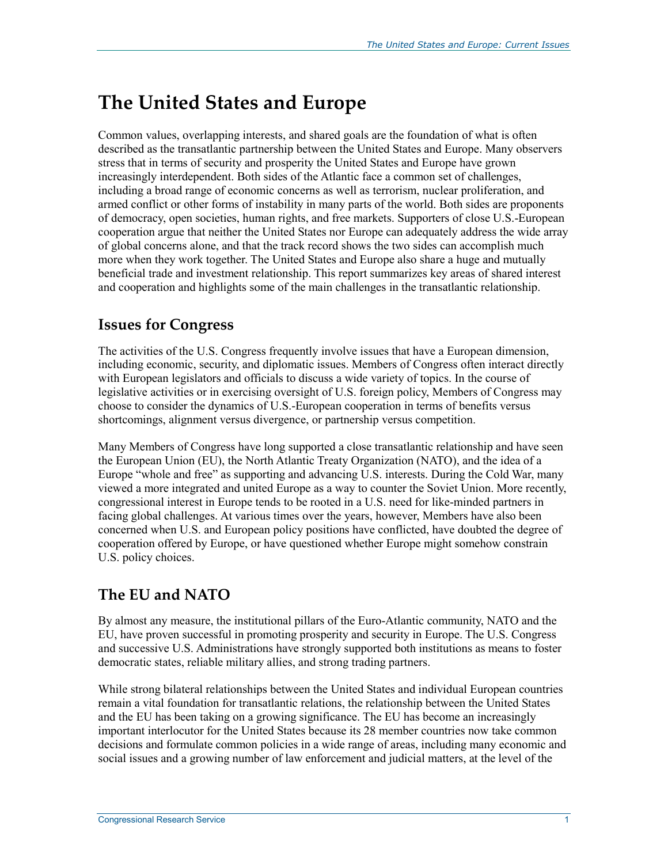## **The United States and Europe**

Common values, overlapping interests, and shared goals are the foundation of what is often described as the transatlantic partnership between the United States and Europe. Many observers stress that in terms of security and prosperity the United States and Europe have grown increasingly interdependent. Both sides of the Atlantic face a common set of challenges, including a broad range of economic concerns as well as terrorism, nuclear proliferation, and armed conflict or other forms of instability in many parts of the world. Both sides are proponents of democracy, open societies, human rights, and free markets. Supporters of close U.S.-European cooperation argue that neither the United States nor Europe can adequately address the wide array of global concerns alone, and that the track record shows the two sides can accomplish much more when they work together. The United States and Europe also share a huge and mutually beneficial trade and investment relationship. This report summarizes key areas of shared interest and cooperation and highlights some of the main challenges in the transatlantic relationship.

#### **Issues for Congress**

The activities of the U.S. Congress frequently involve issues that have a European dimension, including economic, security, and diplomatic issues. Members of Congress often interact directly with European legislators and officials to discuss a wide variety of topics. In the course of legislative activities or in exercising oversight of U.S. foreign policy, Members of Congress may choose to consider the dynamics of U.S.-European cooperation in terms of benefits versus shortcomings, alignment versus divergence, or partnership versus competition.

Many Members of Congress have long supported a close transatlantic relationship and have seen the European Union (EU), the North Atlantic Treaty Organization (NATO), and the idea of a Europe "whole and free" as supporting and advancing U.S. interests. During the Cold War, many viewed a more integrated and united Europe as a way to counter the Soviet Union. More recently, congressional interest in Europe tends to be rooted in a U.S. need for like-minded partners in facing global challenges. At various times over the years, however, Members have also been concerned when U.S. and European policy positions have conflicted, have doubted the degree of cooperation offered by Europe, or have questioned whether Europe might somehow constrain U.S. policy choices.

#### **The EU and NATO**

By almost any measure, the institutional pillars of the Euro-Atlantic community, NATO and the EU, have proven successful in promoting prosperity and security in Europe. The U.S. Congress and successive U.S. Administrations have strongly supported both institutions as means to foster democratic states, reliable military allies, and strong trading partners.

While strong bilateral relationships between the United States and individual European countries remain a vital foundation for transatlantic relations, the relationship between the United States and the EU has been taking on a growing significance. The EU has become an increasingly important interlocutor for the United States because its 28 member countries now take common decisions and formulate common policies in a wide range of areas, including many economic and social issues and a growing number of law enforcement and judicial matters, at the level of the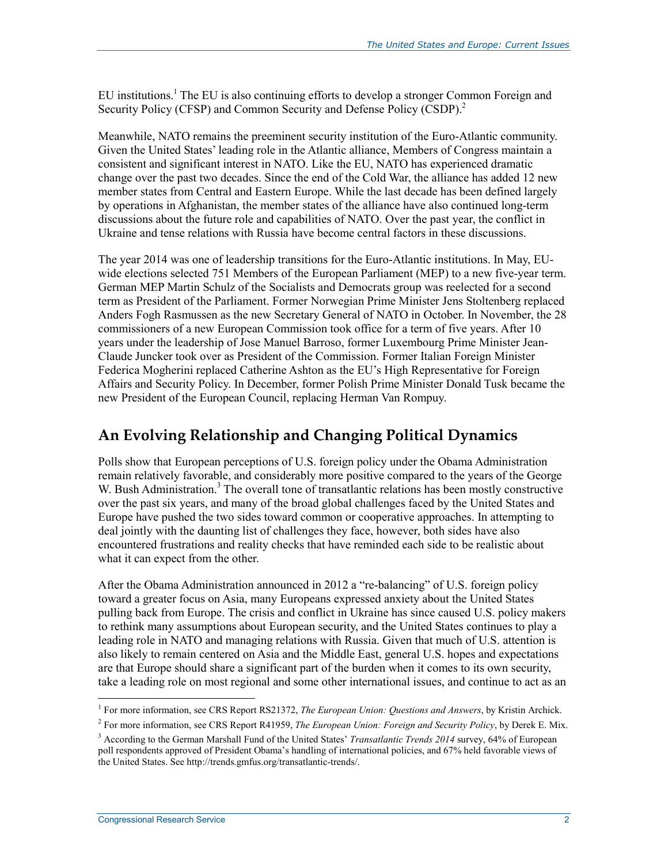EU institutions.<sup>1</sup> The EU is also continuing efforts to develop a stronger Common Foreign and Security Policy (CFSP) and Common Security and Defense Policy (CSDP).<sup>2</sup>

Meanwhile, NATO remains the preeminent security institution of the Euro-Atlantic community. Given the United States' leading role in the Atlantic alliance, Members of Congress maintain a consistent and significant interest in NATO. Like the EU, NATO has experienced dramatic change over the past two decades. Since the end of the Cold War, the alliance has added 12 new member states from Central and Eastern Europe. While the last decade has been defined largely by operations in Afghanistan, the member states of the alliance have also continued long-term discussions about the future role and capabilities of NATO. Over the past year, the conflict in Ukraine and tense relations with Russia have become central factors in these discussions.

The year 2014 was one of leadership transitions for the Euro-Atlantic institutions. In May, EUwide elections selected 751 Members of the European Parliament (MEP) to a new five-year term. German MEP Martin Schulz of the Socialists and Democrats group was reelected for a second term as President of the Parliament. Former Norwegian Prime Minister Jens Stoltenberg replaced Anders Fogh Rasmussen as the new Secretary General of NATO in October. In November, the 28 commissioners of a new European Commission took office for a term of five years. After 10 years under the leadership of Jose Manuel Barroso, former Luxembourg Prime Minister Jean-Claude Juncker took over as President of the Commission. Former Italian Foreign Minister Federica Mogherini replaced Catherine Ashton as the EU's High Representative for Foreign Affairs and Security Policy. In December, former Polish Prime Minister Donald Tusk became the new President of the European Council, replacing Herman Van Rompuy.

#### **An Evolving Relationship and Changing Political Dynamics**

Polls show that European perceptions of U.S. foreign policy under the Obama Administration remain relatively favorable, and considerably more positive compared to the years of the George W. Bush Administration.<sup>3</sup> The overall tone of transatlantic relations has been mostly constructive over the past six years, and many of the broad global challenges faced by the United States and Europe have pushed the two sides toward common or cooperative approaches. In attempting to deal jointly with the daunting list of challenges they face, however, both sides have also encountered frustrations and reality checks that have reminded each side to be realistic about what it can expect from the other.

After the Obama Administration announced in 2012 a "re-balancing" of U.S. foreign policy toward a greater focus on Asia, many Europeans expressed anxiety about the United States pulling back from Europe. The crisis and conflict in Ukraine has since caused U.S. policy makers to rethink many assumptions about European security, and the United States continues to play a leading role in NATO and managing relations with Russia. Given that much of U.S. attention is also likely to remain centered on Asia and the Middle East, general U.S. hopes and expectations are that Europe should share a significant part of the burden when it comes to its own security, take a leading role on most regional and some other international issues, and continue to act as an

<sup>1</sup> <sup>1</sup> For more information, see CRS Report RS21372, *The European Union: Questions and Answers*, by Kristin Archick.

<sup>2</sup> For more information, see CRS Report R41959, *The European Union: Foreign and Security Policy*, by Derek E. Mix.

<sup>3</sup> According to the German Marshall Fund of the United States' *Transatlantic Trends 2014* survey, 64% of European poll respondents approved of President Obama's handling of international policies, and 67% held favorable views of the United States. See http://trends.gmfus.org/transatlantic-trends/.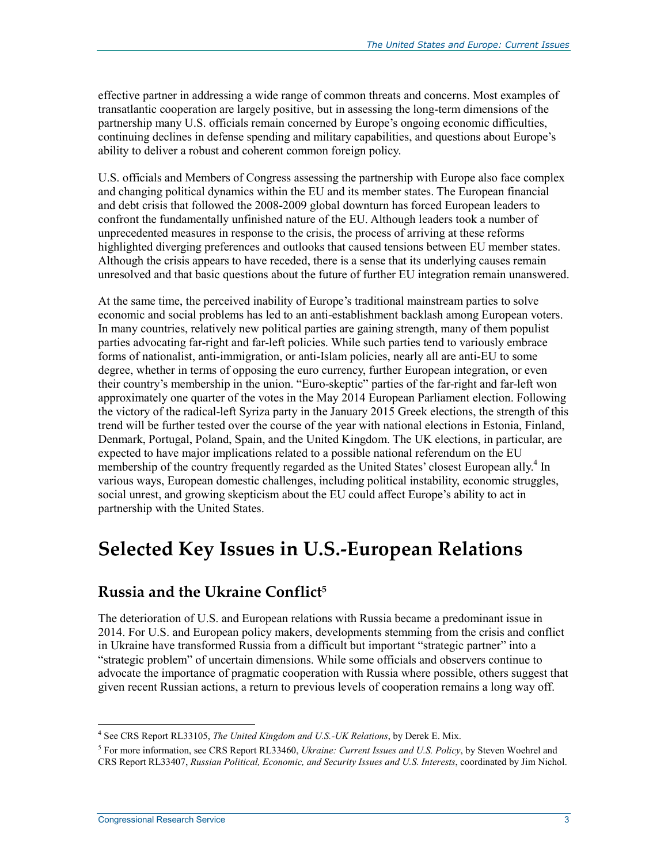effective partner in addressing a wide range of common threats and concerns. Most examples of transatlantic cooperation are largely positive, but in assessing the long-term dimensions of the partnership many U.S. officials remain concerned by Europe's ongoing economic difficulties, continuing declines in defense spending and military capabilities, and questions about Europe's ability to deliver a robust and coherent common foreign policy.

U.S. officials and Members of Congress assessing the partnership with Europe also face complex and changing political dynamics within the EU and its member states. The European financial and debt crisis that followed the 2008-2009 global downturn has forced European leaders to confront the fundamentally unfinished nature of the EU. Although leaders took a number of unprecedented measures in response to the crisis, the process of arriving at these reforms highlighted diverging preferences and outlooks that caused tensions between EU member states. Although the crisis appears to have receded, there is a sense that its underlying causes remain unresolved and that basic questions about the future of further EU integration remain unanswered.

At the same time, the perceived inability of Europe's traditional mainstream parties to solve economic and social problems has led to an anti-establishment backlash among European voters. In many countries, relatively new political parties are gaining strength, many of them populist parties advocating far-right and far-left policies. While such parties tend to variously embrace forms of nationalist, anti-immigration, or anti-Islam policies, nearly all are anti-EU to some degree, whether in terms of opposing the euro currency, further European integration, or even their country's membership in the union. "Euro-skeptic" parties of the far-right and far-left won approximately one quarter of the votes in the May 2014 European Parliament election. Following the victory of the radical-left Syriza party in the January 2015 Greek elections, the strength of this trend will be further tested over the course of the year with national elections in Estonia, Finland, Denmark, Portugal, Poland, Spain, and the United Kingdom. The UK elections, in particular, are expected to have major implications related to a possible national referendum on the EU membership of the country frequently regarded as the United States' closest European ally.<sup>4</sup> In various ways, European domestic challenges, including political instability, economic struggles, social unrest, and growing skepticism about the EU could affect Europe's ability to act in partnership with the United States.

### **Selected Key Issues in U.S.-European Relations**

#### **Russia and the Ukraine Conflict5**

The deterioration of U.S. and European relations with Russia became a predominant issue in 2014. For U.S. and European policy makers, developments stemming from the crisis and conflict in Ukraine have transformed Russia from a difficult but important "strategic partner" into a "strategic problem" of uncertain dimensions. While some officials and observers continue to advocate the importance of pragmatic cooperation with Russia where possible, others suggest that given recent Russian actions, a return to previous levels of cooperation remains a long way off.

<sup>4</sup> See CRS Report RL33105, *The United Kingdom and U.S.-UK Relations*, by Derek E. Mix.

<sup>5</sup> For more information, see CRS Report RL33460, *Ukraine: Current Issues and U.S. Policy*, by Steven Woehrel and CRS Report RL33407, *Russian Political, Economic, and Security Issues and U.S. Interests*, coordinated by Jim Nichol.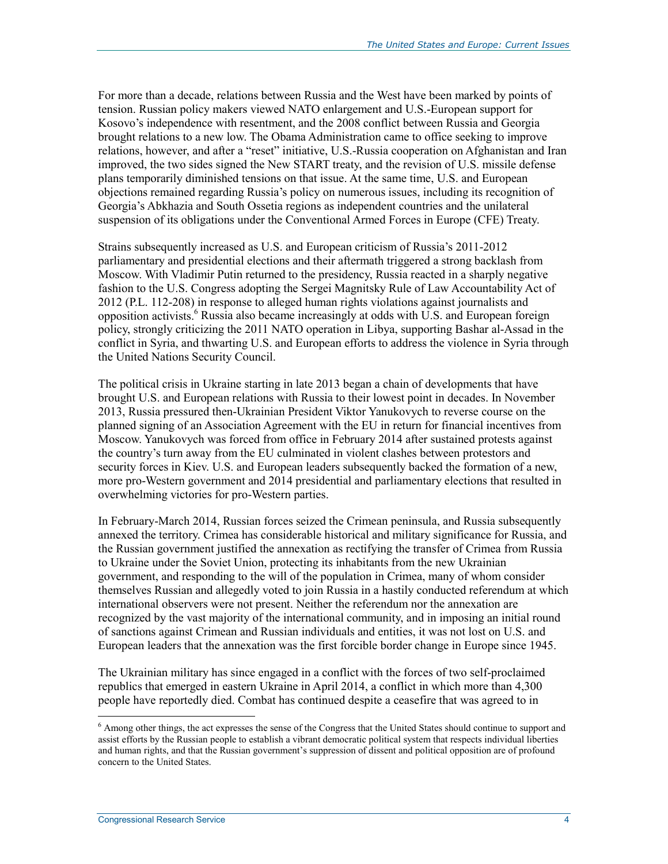For more than a decade, relations between Russia and the West have been marked by points of tension. Russian policy makers viewed NATO enlargement and U.S.-European support for Kosovo's independence with resentment, and the 2008 conflict between Russia and Georgia brought relations to a new low. The Obama Administration came to office seeking to improve relations, however, and after a "reset" initiative, U.S.-Russia cooperation on Afghanistan and Iran improved, the two sides signed the New START treaty, and the revision of U.S. missile defense plans temporarily diminished tensions on that issue. At the same time, U.S. and European objections remained regarding Russia's policy on numerous issues, including its recognition of Georgia's Abkhazia and South Ossetia regions as independent countries and the unilateral suspension of its obligations under the Conventional Armed Forces in Europe (CFE) Treaty.

Strains subsequently increased as U.S. and European criticism of Russia's 2011-2012 parliamentary and presidential elections and their aftermath triggered a strong backlash from Moscow. With Vladimir Putin returned to the presidency, Russia reacted in a sharply negative fashion to the U.S. Congress adopting the Sergei Magnitsky Rule of Law Accountability Act of 2012 (P.L. 112-208) in response to alleged human rights violations against journalists and opposition activists.<sup>6</sup> Russia also became increasingly at odds with U.S. and European foreign policy, strongly criticizing the 2011 NATO operation in Libya, supporting Bashar al-Assad in the conflict in Syria, and thwarting U.S. and European efforts to address the violence in Syria through the United Nations Security Council.

The political crisis in Ukraine starting in late 2013 began a chain of developments that have brought U.S. and European relations with Russia to their lowest point in decades. In November 2013, Russia pressured then-Ukrainian President Viktor Yanukovych to reverse course on the planned signing of an Association Agreement with the EU in return for financial incentives from Moscow. Yanukovych was forced from office in February 2014 after sustained protests against the country's turn away from the EU culminated in violent clashes between protestors and security forces in Kiev. U.S. and European leaders subsequently backed the formation of a new, more pro-Western government and 2014 presidential and parliamentary elections that resulted in overwhelming victories for pro-Western parties.

In February-March 2014, Russian forces seized the Crimean peninsula, and Russia subsequently annexed the territory. Crimea has considerable historical and military significance for Russia, and the Russian government justified the annexation as rectifying the transfer of Crimea from Russia to Ukraine under the Soviet Union, protecting its inhabitants from the new Ukrainian government, and responding to the will of the population in Crimea, many of whom consider themselves Russian and allegedly voted to join Russia in a hastily conducted referendum at which international observers were not present. Neither the referendum nor the annexation are recognized by the vast majority of the international community, and in imposing an initial round of sanctions against Crimean and Russian individuals and entities, it was not lost on U.S. and European leaders that the annexation was the first forcible border change in Europe since 1945.

The Ukrainian military has since engaged in a conflict with the forces of two self-proclaimed republics that emerged in eastern Ukraine in April 2014, a conflict in which more than 4,300 people have reportedly died. Combat has continued despite a ceasefire that was agreed to in

<sup>&</sup>lt;sup>6</sup> Among other things, the act expresses the sense of the Congress that the United States should continue to support and assist efforts by the Russian people to establish a vibrant democratic political system that respects individual liberties and human rights, and that the Russian government's suppression of dissent and political opposition are of profound concern to the United States.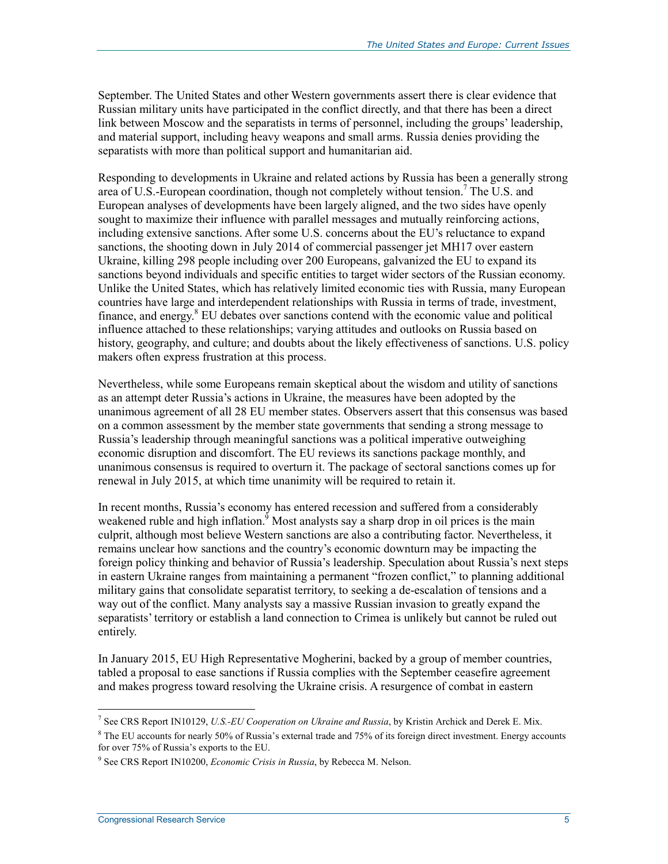September. The United States and other Western governments assert there is clear evidence that Russian military units have participated in the conflict directly, and that there has been a direct link between Moscow and the separatists in terms of personnel, including the groups' leadership, and material support, including heavy weapons and small arms. Russia denies providing the separatists with more than political support and humanitarian aid.

Responding to developments in Ukraine and related actions by Russia has been a generally strong area of U.S.-European coordination, though not completely without tension.<sup>7</sup> The U.S. and European analyses of developments have been largely aligned, and the two sides have openly sought to maximize their influence with parallel messages and mutually reinforcing actions, including extensive sanctions. After some U.S. concerns about the EU's reluctance to expand sanctions, the shooting down in July 2014 of commercial passenger jet MH17 over eastern Ukraine, killing 298 people including over 200 Europeans, galvanized the EU to expand its sanctions beyond individuals and specific entities to target wider sectors of the Russian economy. Unlike the United States, which has relatively limited economic ties with Russia, many European countries have large and interdependent relationships with Russia in terms of trade, investment, finance, and energy.<sup>8</sup> EU debates over sanctions contend with the economic value and political influence attached to these relationships; varying attitudes and outlooks on Russia based on history, geography, and culture; and doubts about the likely effectiveness of sanctions. U.S. policy makers often express frustration at this process.

Nevertheless, while some Europeans remain skeptical about the wisdom and utility of sanctions as an attempt deter Russia's actions in Ukraine, the measures have been adopted by the unanimous agreement of all 28 EU member states. Observers assert that this consensus was based on a common assessment by the member state governments that sending a strong message to Russia's leadership through meaningful sanctions was a political imperative outweighing economic disruption and discomfort. The EU reviews its sanctions package monthly, and unanimous consensus is required to overturn it. The package of sectoral sanctions comes up for renewal in July 2015, at which time unanimity will be required to retain it.

In recent months, Russia's economy has entered recession and suffered from a considerably weakened ruble and high inflation.<sup>9</sup> Most analysts say a sharp drop in oil prices is the main culprit, although most believe Western sanctions are also a contributing factor. Nevertheless, it remains unclear how sanctions and the country's economic downturn may be impacting the foreign policy thinking and behavior of Russia's leadership. Speculation about Russia's next steps in eastern Ukraine ranges from maintaining a permanent "frozen conflict," to planning additional military gains that consolidate separatist territory, to seeking a de-escalation of tensions and a way out of the conflict. Many analysts say a massive Russian invasion to greatly expand the separatists' territory or establish a land connection to Crimea is unlikely but cannot be ruled out entirely.

In January 2015, EU High Representative Mogherini, backed by a group of member countries, tabled a proposal to ease sanctions if Russia complies with the September ceasefire agreement and makes progress toward resolving the Ukraine crisis. A resurgence of combat in eastern

<sup>7</sup> See CRS Report IN10129, *U.S.-EU Cooperation on Ukraine and Russia*, by Kristin Archick and Derek E. Mix.

<sup>&</sup>lt;sup>8</sup> The EU accounts for nearly 50% of Russia's external trade and 75% of its foreign direct investment. Energy accounts for over 75% of Russia's exports to the EU.

<sup>9</sup> See CRS Report IN10200, *Economic Crisis in Russia*, by Rebecca M. Nelson.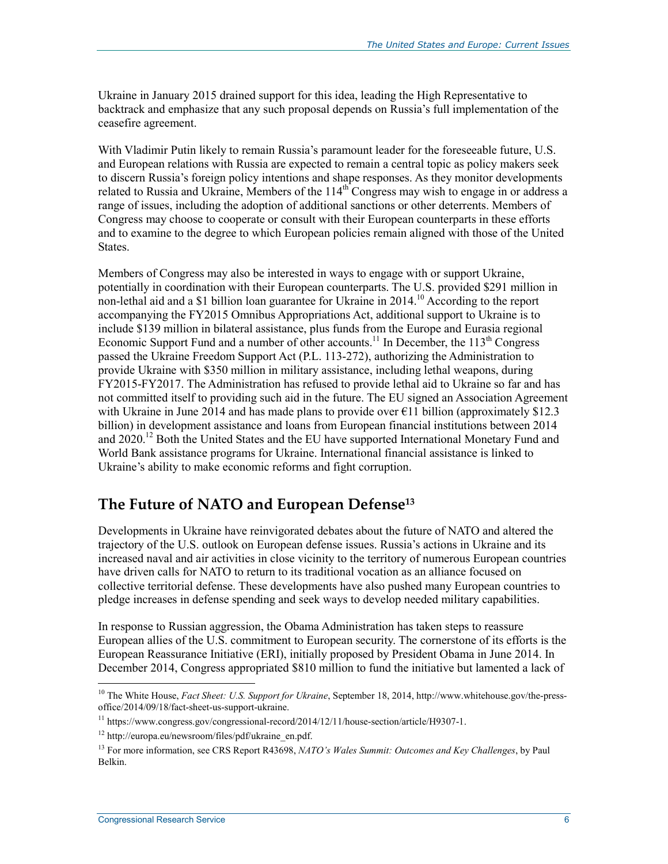Ukraine in January 2015 drained support for this idea, leading the High Representative to backtrack and emphasize that any such proposal depends on Russia's full implementation of the ceasefire agreement.

With Vladimir Putin likely to remain Russia's paramount leader for the foreseeable future, U.S. and European relations with Russia are expected to remain a central topic as policy makers seek to discern Russia's foreign policy intentions and shape responses. As they monitor developments related to Russia and Ukraine, Members of the  $114<sup>th</sup>$  Congress may wish to engage in or address a range of issues, including the adoption of additional sanctions or other deterrents. Members of Congress may choose to cooperate or consult with their European counterparts in these efforts and to examine to the degree to which European policies remain aligned with those of the United States.

Members of Congress may also be interested in ways to engage with or support Ukraine, potentially in coordination with their European counterparts. The U.S. provided \$291 million in non-lethal aid and a \$1 billion loan guarantee for Ukraine in 2014.<sup>10</sup> According to the report accompanying the FY2015 Omnibus Appropriations Act, additional support to Ukraine is to include \$139 million in bilateral assistance, plus funds from the Europe and Eurasia regional Economic Support Fund and a number of other accounts.<sup>11</sup> In December, the  $113<sup>th</sup>$  Congress passed the Ukraine Freedom Support Act (P.L. 113-272), authorizing the Administration to provide Ukraine with \$350 million in military assistance, including lethal weapons, during FY2015-FY2017. The Administration has refused to provide lethal aid to Ukraine so far and has not committed itself to providing such aid in the future. The EU signed an Association Agreement with Ukraine in June 2014 and has made plans to provide over  $\epsilon$ 11 billion (approximately \$12.3) billion) in development assistance and loans from European financial institutions between 2014 and 2020.<sup>12</sup> Both the United States and the EU have supported International Monetary Fund and World Bank assistance programs for Ukraine. International financial assistance is linked to Ukraine's ability to make economic reforms and fight corruption.

#### **The Future of NATO and European Defense13**

Developments in Ukraine have reinvigorated debates about the future of NATO and altered the trajectory of the U.S. outlook on European defense issues. Russia's actions in Ukraine and its increased naval and air activities in close vicinity to the territory of numerous European countries have driven calls for NATO to return to its traditional vocation as an alliance focused on collective territorial defense. These developments have also pushed many European countries to pledge increases in defense spending and seek ways to develop needed military capabilities.

In response to Russian aggression, the Obama Administration has taken steps to reassure European allies of the U.S. commitment to European security. The cornerstone of its efforts is the European Reassurance Initiative (ERI), initially proposed by President Obama in June 2014. In December 2014, Congress appropriated \$810 million to fund the initiative but lamented a lack of

<sup>10</sup> The White House, *Fact Sheet: U.S. Support for Ukraine*, September 18, 2014, http://www.whitehouse.gov/the-pressoffice/2014/09/18/fact-sheet-us-support-ukraine.

<sup>11</sup> https://www.congress.gov/congressional-record/2014/12/11/house-section/article/H9307-1.

<sup>12</sup> http://europa.eu/newsroom/files/pdf/ukraine\_en.pdf.

<sup>13</sup> For more information, see CRS Report R43698, *NATO's Wales Summit: Outcomes and Key Challenges*, by Paul Belkin.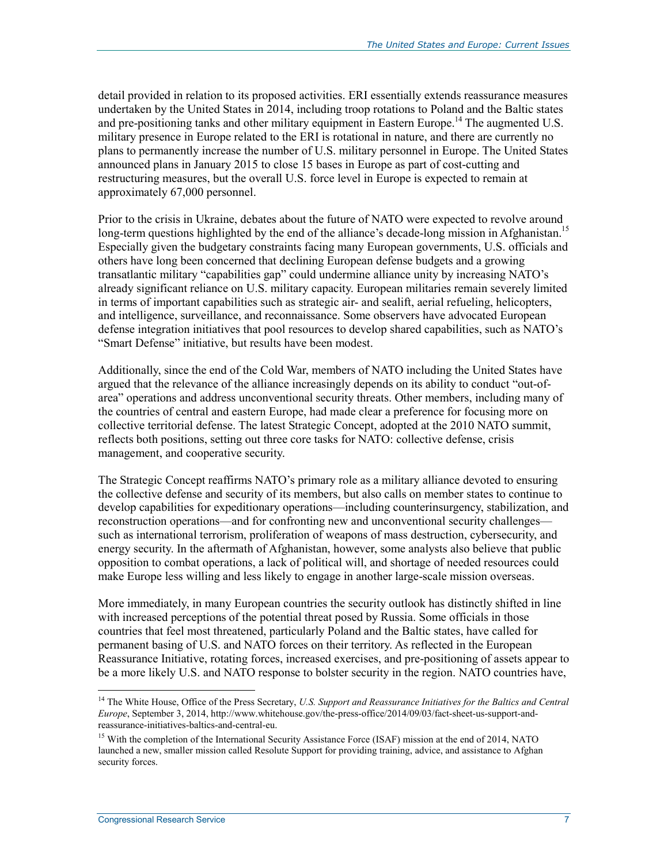detail provided in relation to its proposed activities. ERI essentially extends reassurance measures undertaken by the United States in 2014, including troop rotations to Poland and the Baltic states and pre-positioning tanks and other military equipment in Eastern Europe.<sup>14</sup> The augmented U.S. military presence in Europe related to the ERI is rotational in nature, and there are currently no plans to permanently increase the number of U.S. military personnel in Europe. The United States announced plans in January 2015 to close 15 bases in Europe as part of cost-cutting and restructuring measures, but the overall U.S. force level in Europe is expected to remain at approximately 67,000 personnel.

Prior to the crisis in Ukraine, debates about the future of NATO were expected to revolve around long-term questions highlighted by the end of the alliance's decade-long mission in Afghanistan.<sup>15</sup> Especially given the budgetary constraints facing many European governments, U.S. officials and others have long been concerned that declining European defense budgets and a growing transatlantic military "capabilities gap" could undermine alliance unity by increasing NATO's already significant reliance on U.S. military capacity. European militaries remain severely limited in terms of important capabilities such as strategic air- and sealift, aerial refueling, helicopters, and intelligence, surveillance, and reconnaissance. Some observers have advocated European defense integration initiatives that pool resources to develop shared capabilities, such as NATO's "Smart Defense" initiative, but results have been modest.

Additionally, since the end of the Cold War, members of NATO including the United States have argued that the relevance of the alliance increasingly depends on its ability to conduct "out-ofarea" operations and address unconventional security threats. Other members, including many of the countries of central and eastern Europe, had made clear a preference for focusing more on collective territorial defense. The latest Strategic Concept, adopted at the 2010 NATO summit, reflects both positions, setting out three core tasks for NATO: collective defense, crisis management, and cooperative security.

The Strategic Concept reaffirms NATO's primary role as a military alliance devoted to ensuring the collective defense and security of its members, but also calls on member states to continue to develop capabilities for expeditionary operations—including counterinsurgency, stabilization, and reconstruction operations—and for confronting new and unconventional security challenges such as international terrorism, proliferation of weapons of mass destruction, cybersecurity, and energy security. In the aftermath of Afghanistan, however, some analysts also believe that public opposition to combat operations, a lack of political will, and shortage of needed resources could make Europe less willing and less likely to engage in another large-scale mission overseas.

More immediately, in many European countries the security outlook has distinctly shifted in line with increased perceptions of the potential threat posed by Russia. Some officials in those countries that feel most threatened, particularly Poland and the Baltic states, have called for permanent basing of U.S. and NATO forces on their territory. As reflected in the European Reassurance Initiative, rotating forces, increased exercises, and pre-positioning of assets appear to be a more likely U.S. and NATO response to bolster security in the region. NATO countries have,

<sup>&</sup>lt;sup>14</sup> The White House, Office of the Press Secretary, *U.S. Support and Reassurance Initiatives for the Baltics and Central Europe*, September 3, 2014, http://www.whitehouse.gov/the-press-office/2014/09/03/fact-sheet-us-support-andreassurance-initiatives-baltics-and-central-eu.

<sup>&</sup>lt;sup>15</sup> With the completion of the International Security Assistance Force (ISAF) mission at the end of 2014, NATO launched a new, smaller mission called Resolute Support for providing training, advice, and assistance to Afghan security forces.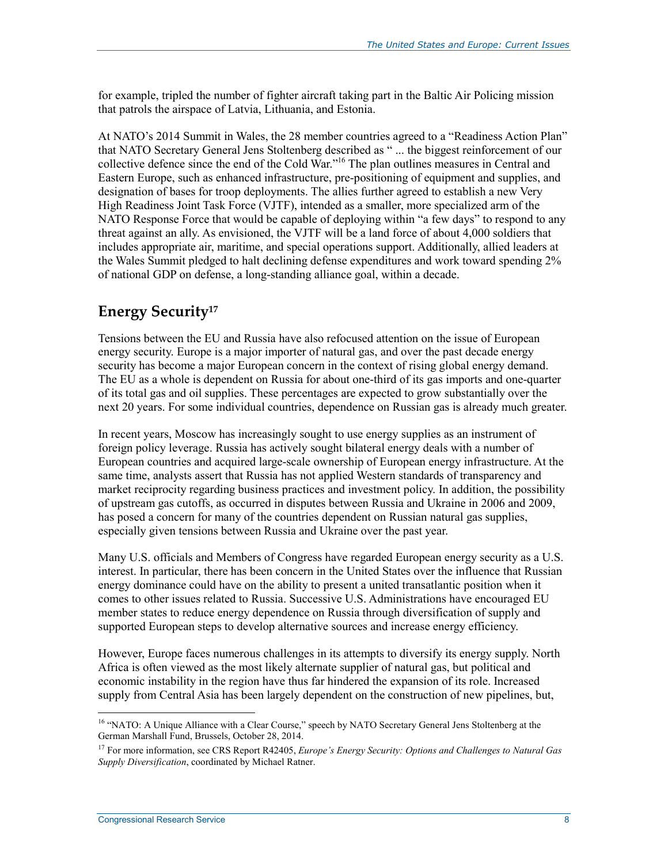for example, tripled the number of fighter aircraft taking part in the Baltic Air Policing mission that patrols the airspace of Latvia, Lithuania, and Estonia.

At NATO's 2014 Summit in Wales, the 28 member countries agreed to a "Readiness Action Plan" that NATO Secretary General Jens Stoltenberg described as " ... the biggest reinforcement of our collective defence since the end of the Cold War."16 The plan outlines measures in Central and Eastern Europe, such as enhanced infrastructure, pre-positioning of equipment and supplies, and designation of bases for troop deployments. The allies further agreed to establish a new Very High Readiness Joint Task Force (VJTF), intended as a smaller, more specialized arm of the NATO Response Force that would be capable of deploying within "a few days" to respond to any threat against an ally. As envisioned, the VJTF will be a land force of about 4,000 soldiers that includes appropriate air, maritime, and special operations support. Additionally, allied leaders at the Wales Summit pledged to halt declining defense expenditures and work toward spending 2% of national GDP on defense, a long-standing alliance goal, within a decade.

#### **Energy Security17**

Tensions between the EU and Russia have also refocused attention on the issue of European energy security. Europe is a major importer of natural gas, and over the past decade energy security has become a major European concern in the context of rising global energy demand. The EU as a whole is dependent on Russia for about one-third of its gas imports and one-quarter of its total gas and oil supplies. These percentages are expected to grow substantially over the next 20 years. For some individual countries, dependence on Russian gas is already much greater.

In recent years, Moscow has increasingly sought to use energy supplies as an instrument of foreign policy leverage. Russia has actively sought bilateral energy deals with a number of European countries and acquired large-scale ownership of European energy infrastructure. At the same time, analysts assert that Russia has not applied Western standards of transparency and market reciprocity regarding business practices and investment policy. In addition, the possibility of upstream gas cutoffs, as occurred in disputes between Russia and Ukraine in 2006 and 2009, has posed a concern for many of the countries dependent on Russian natural gas supplies, especially given tensions between Russia and Ukraine over the past year.

Many U.S. officials and Members of Congress have regarded European energy security as a U.S. interest. In particular, there has been concern in the United States over the influence that Russian energy dominance could have on the ability to present a united transatlantic position when it comes to other issues related to Russia. Successive U.S. Administrations have encouraged EU member states to reduce energy dependence on Russia through diversification of supply and supported European steps to develop alternative sources and increase energy efficiency.

However, Europe faces numerous challenges in its attempts to diversify its energy supply. North Africa is often viewed as the most likely alternate supplier of natural gas, but political and economic instability in the region have thus far hindered the expansion of its role. Increased supply from Central Asia has been largely dependent on the construction of new pipelines, but,

<sup>&</sup>lt;sup>16</sup> "NATO: A Unique Alliance with a Clear Course," speech by NATO Secretary General Jens Stoltenberg at the German Marshall Fund, Brussels, October 28, 2014.

<sup>17</sup> For more information, see CRS Report R42405, *Europe's Energy Security: Options and Challenges to Natural Gas Supply Diversification*, coordinated by Michael Ratner.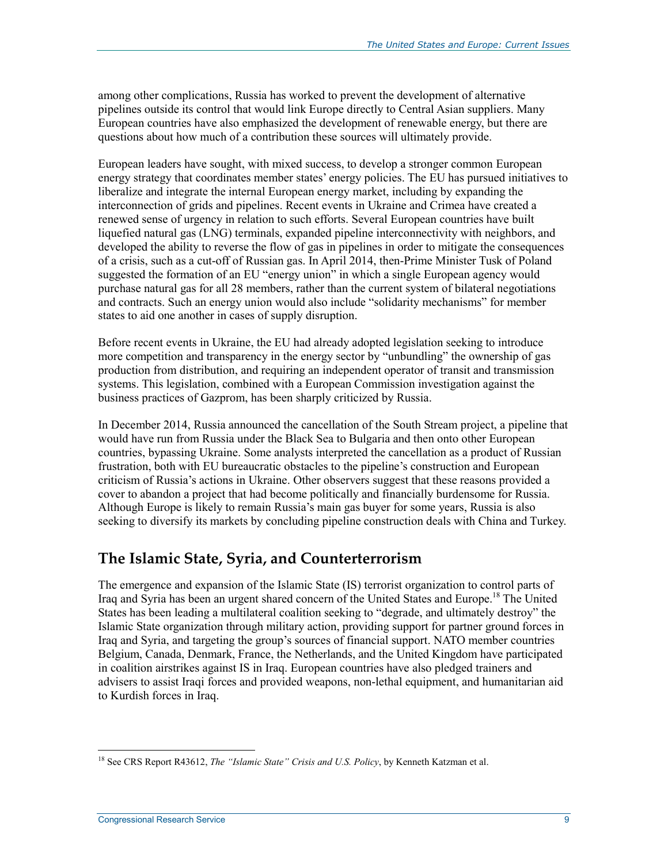among other complications, Russia has worked to prevent the development of alternative pipelines outside its control that would link Europe directly to Central Asian suppliers. Many European countries have also emphasized the development of renewable energy, but there are questions about how much of a contribution these sources will ultimately provide.

European leaders have sought, with mixed success, to develop a stronger common European energy strategy that coordinates member states' energy policies. The EU has pursued initiatives to liberalize and integrate the internal European energy market, including by expanding the interconnection of grids and pipelines. Recent events in Ukraine and Crimea have created a renewed sense of urgency in relation to such efforts. Several European countries have built liquefied natural gas (LNG) terminals, expanded pipeline interconnectivity with neighbors, and developed the ability to reverse the flow of gas in pipelines in order to mitigate the consequences of a crisis, such as a cut-off of Russian gas. In April 2014, then-Prime Minister Tusk of Poland suggested the formation of an EU "energy union" in which a single European agency would purchase natural gas for all 28 members, rather than the current system of bilateral negotiations and contracts. Such an energy union would also include "solidarity mechanisms" for member states to aid one another in cases of supply disruption.

Before recent events in Ukraine, the EU had already adopted legislation seeking to introduce more competition and transparency in the energy sector by "unbundling" the ownership of gas production from distribution, and requiring an independent operator of transit and transmission systems. This legislation, combined with a European Commission investigation against the business practices of Gazprom, has been sharply criticized by Russia.

In December 2014, Russia announced the cancellation of the South Stream project, a pipeline that would have run from Russia under the Black Sea to Bulgaria and then onto other European countries, bypassing Ukraine. Some analysts interpreted the cancellation as a product of Russian frustration, both with EU bureaucratic obstacles to the pipeline's construction and European criticism of Russia's actions in Ukraine. Other observers suggest that these reasons provided a cover to abandon a project that had become politically and financially burdensome for Russia. Although Europe is likely to remain Russia's main gas buyer for some years, Russia is also seeking to diversify its markets by concluding pipeline construction deals with China and Turkey.

#### **The Islamic State, Syria, and Counterterrorism**

The emergence and expansion of the Islamic State (IS) terrorist organization to control parts of Iraq and Syria has been an urgent shared concern of the United States and Europe.18 The United States has been leading a multilateral coalition seeking to "degrade, and ultimately destroy" the Islamic State organization through military action, providing support for partner ground forces in Iraq and Syria, and targeting the group's sources of financial support. NATO member countries Belgium, Canada, Denmark, France, the Netherlands, and the United Kingdom have participated in coalition airstrikes against IS in Iraq. European countries have also pledged trainers and advisers to assist Iraqi forces and provided weapons, non-lethal equipment, and humanitarian aid to Kurdish forces in Iraq.

<sup>&</sup>lt;u>.</u> 18 See CRS Report R43612, *The "Islamic State" Crisis and U.S. Policy*, by Kenneth Katzman et al.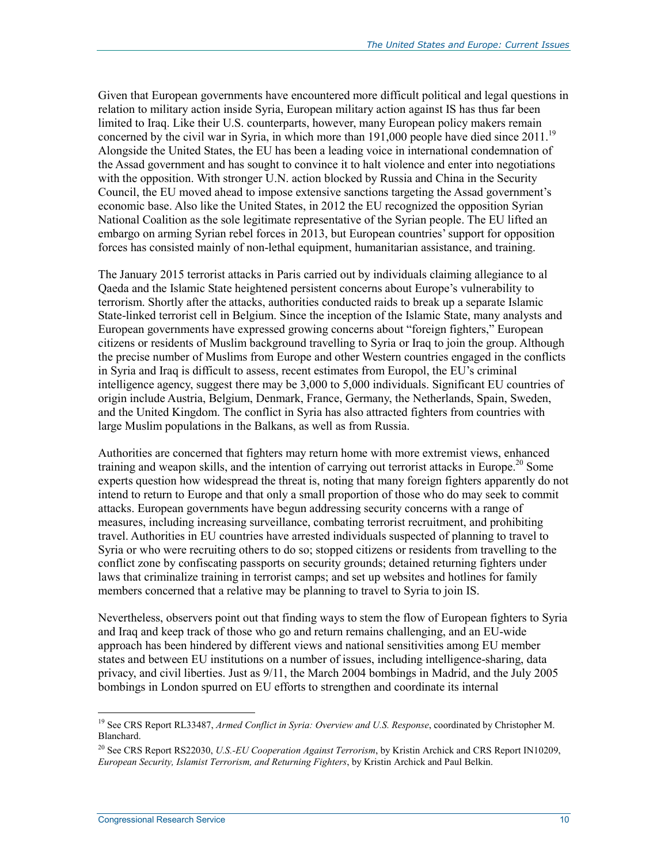Given that European governments have encountered more difficult political and legal questions in relation to military action inside Syria, European military action against IS has thus far been limited to Iraq. Like their U.S. counterparts, however, many European policy makers remain concerned by the civil war in Syria, in which more than  $191,000$  people have died since  $2011$ .<sup>19</sup> Alongside the United States, the EU has been a leading voice in international condemnation of the Assad government and has sought to convince it to halt violence and enter into negotiations with the opposition. With stronger U.N. action blocked by Russia and China in the Security Council, the EU moved ahead to impose extensive sanctions targeting the Assad government's economic base. Also like the United States, in 2012 the EU recognized the opposition Syrian National Coalition as the sole legitimate representative of the Syrian people. The EU lifted an embargo on arming Syrian rebel forces in 2013, but European countries' support for opposition forces has consisted mainly of non-lethal equipment, humanitarian assistance, and training.

The January 2015 terrorist attacks in Paris carried out by individuals claiming allegiance to al Qaeda and the Islamic State heightened persistent concerns about Europe's vulnerability to terrorism. Shortly after the attacks, authorities conducted raids to break up a separate Islamic State-linked terrorist cell in Belgium. Since the inception of the Islamic State, many analysts and European governments have expressed growing concerns about "foreign fighters," European citizens or residents of Muslim background travelling to Syria or Iraq to join the group. Although the precise number of Muslims from Europe and other Western countries engaged in the conflicts in Syria and Iraq is difficult to assess, recent estimates from Europol, the EU's criminal intelligence agency, suggest there may be 3,000 to 5,000 individuals. Significant EU countries of origin include Austria, Belgium, Denmark, France, Germany, the Netherlands, Spain, Sweden, and the United Kingdom. The conflict in Syria has also attracted fighters from countries with large Muslim populations in the Balkans, as well as from Russia.

Authorities are concerned that fighters may return home with more extremist views, enhanced training and weapon skills, and the intention of carrying out terrorist attacks in Europe.<sup>20</sup> Some experts question how widespread the threat is, noting that many foreign fighters apparently do not intend to return to Europe and that only a small proportion of those who do may seek to commit attacks. European governments have begun addressing security concerns with a range of measures, including increasing surveillance, combating terrorist recruitment, and prohibiting travel. Authorities in EU countries have arrested individuals suspected of planning to travel to Syria or who were recruiting others to do so; stopped citizens or residents from travelling to the conflict zone by confiscating passports on security grounds; detained returning fighters under laws that criminalize training in terrorist camps; and set up websites and hotlines for family members concerned that a relative may be planning to travel to Syria to join IS.

Nevertheless, observers point out that finding ways to stem the flow of European fighters to Syria and Iraq and keep track of those who go and return remains challenging, and an EU-wide approach has been hindered by different views and national sensitivities among EU member states and between EU institutions on a number of issues, including intelligence-sharing, data privacy, and civil liberties. Just as 9/11, the March 2004 bombings in Madrid, and the July 2005 bombings in London spurred on EU efforts to strengthen and coordinate its internal

<sup>19</sup> See CRS Report RL33487, *Armed Conflict in Syria: Overview and U.S. Response*, coordinated by Christopher M. Blanchard.

<sup>20</sup> See CRS Report RS22030, *U.S.-EU Cooperation Against Terrorism*, by Kristin Archick and CRS Report IN10209, *European Security, Islamist Terrorism, and Returning Fighters*, by Kristin Archick and Paul Belkin.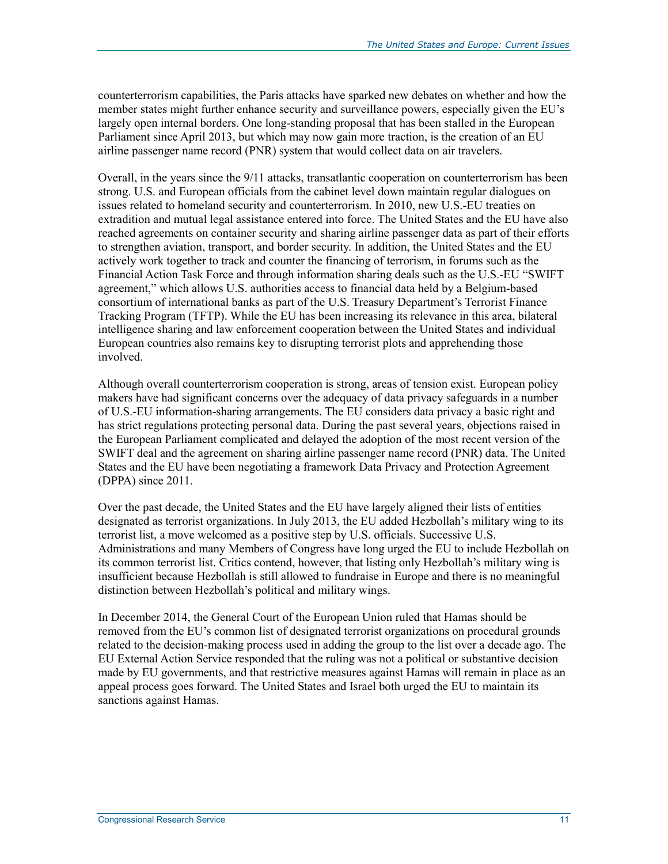counterterrorism capabilities, the Paris attacks have sparked new debates on whether and how the member states might further enhance security and surveillance powers, especially given the EU's largely open internal borders. One long-standing proposal that has been stalled in the European Parliament since April 2013, but which may now gain more traction, is the creation of an EU airline passenger name record (PNR) system that would collect data on air travelers.

Overall, in the years since the 9/11 attacks, transatlantic cooperation on counterterrorism has been strong. U.S. and European officials from the cabinet level down maintain regular dialogues on issues related to homeland security and counterterrorism. In 2010, new U.S.-EU treaties on extradition and mutual legal assistance entered into force. The United States and the EU have also reached agreements on container security and sharing airline passenger data as part of their efforts to strengthen aviation, transport, and border security. In addition, the United States and the EU actively work together to track and counter the financing of terrorism, in forums such as the Financial Action Task Force and through information sharing deals such as the U.S.-EU "SWIFT agreement," which allows U.S. authorities access to financial data held by a Belgium-based consortium of international banks as part of the U.S. Treasury Department's Terrorist Finance Tracking Program (TFTP). While the EU has been increasing its relevance in this area, bilateral intelligence sharing and law enforcement cooperation between the United States and individual European countries also remains key to disrupting terrorist plots and apprehending those involved.

Although overall counterterrorism cooperation is strong, areas of tension exist. European policy makers have had significant concerns over the adequacy of data privacy safeguards in a number of U.S.-EU information-sharing arrangements. The EU considers data privacy a basic right and has strict regulations protecting personal data. During the past several years, objections raised in the European Parliament complicated and delayed the adoption of the most recent version of the SWIFT deal and the agreement on sharing airline passenger name record (PNR) data. The United States and the EU have been negotiating a framework Data Privacy and Protection Agreement (DPPA) since 2011.

Over the past decade, the United States and the EU have largely aligned their lists of entities designated as terrorist organizations. In July 2013, the EU added Hezbollah's military wing to its terrorist list, a move welcomed as a positive step by U.S. officials. Successive U.S. Administrations and many Members of Congress have long urged the EU to include Hezbollah on its common terrorist list. Critics contend, however, that listing only Hezbollah's military wing is insufficient because Hezbollah is still allowed to fundraise in Europe and there is no meaningful distinction between Hezbollah's political and military wings.

In December 2014, the General Court of the European Union ruled that Hamas should be removed from the EU's common list of designated terrorist organizations on procedural grounds related to the decision-making process used in adding the group to the list over a decade ago. The EU External Action Service responded that the ruling was not a political or substantive decision made by EU governments, and that restrictive measures against Hamas will remain in place as an appeal process goes forward. The United States and Israel both urged the EU to maintain its sanctions against Hamas.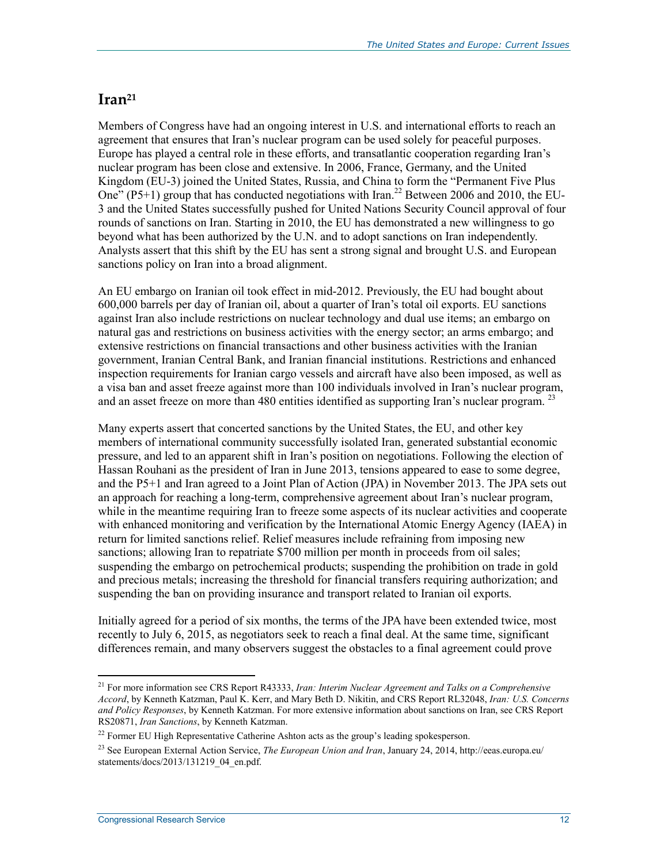#### **Iran21**

Members of Congress have had an ongoing interest in U.S. and international efforts to reach an agreement that ensures that Iran's nuclear program can be used solely for peaceful purposes. Europe has played a central role in these efforts, and transatlantic cooperation regarding Iran's nuclear program has been close and extensive. In 2006, France, Germany, and the United Kingdom (EU-3) joined the United States, Russia, and China to form the "Permanent Five Plus One" (P5+1) group that has conducted negotiations with Iran.<sup>22</sup> Between 2006 and 2010, the EU-3 and the United States successfully pushed for United Nations Security Council approval of four rounds of sanctions on Iran. Starting in 2010, the EU has demonstrated a new willingness to go beyond what has been authorized by the U.N. and to adopt sanctions on Iran independently. Analysts assert that this shift by the EU has sent a strong signal and brought U.S. and European sanctions policy on Iran into a broad alignment.

An EU embargo on Iranian oil took effect in mid-2012. Previously, the EU had bought about 600,000 barrels per day of Iranian oil, about a quarter of Iran's total oil exports. EU sanctions against Iran also include restrictions on nuclear technology and dual use items; an embargo on natural gas and restrictions on business activities with the energy sector; an arms embargo; and extensive restrictions on financial transactions and other business activities with the Iranian government, Iranian Central Bank, and Iranian financial institutions. Restrictions and enhanced inspection requirements for Iranian cargo vessels and aircraft have also been imposed, as well as a visa ban and asset freeze against more than 100 individuals involved in Iran's nuclear program, and an asset freeze on more than 480 entities identified as supporting Iran's nuclear program.  $2<sup>3</sup>$ 

Many experts assert that concerted sanctions by the United States, the EU, and other key members of international community successfully isolated Iran, generated substantial economic pressure, and led to an apparent shift in Iran's position on negotiations. Following the election of Hassan Rouhani as the president of Iran in June 2013, tensions appeared to ease to some degree, and the P5+1 and Iran agreed to a Joint Plan of Action (JPA) in November 2013. The JPA sets out an approach for reaching a long-term, comprehensive agreement about Iran's nuclear program, while in the meantime requiring Iran to freeze some aspects of its nuclear activities and cooperate with enhanced monitoring and verification by the International Atomic Energy Agency (IAEA) in return for limited sanctions relief. Relief measures include refraining from imposing new sanctions; allowing Iran to repatriate \$700 million per month in proceeds from oil sales; suspending the embargo on petrochemical products; suspending the prohibition on trade in gold and precious metals; increasing the threshold for financial transfers requiring authorization; and suspending the ban on providing insurance and transport related to Iranian oil exports.

Initially agreed for a period of six months, the terms of the JPA have been extended twice, most recently to July 6, 2015, as negotiators seek to reach a final deal. At the same time, significant differences remain, and many observers suggest the obstacles to a final agreement could prove

<sup>1</sup> 21 For more information see CRS Report R43333, *Iran: Interim Nuclear Agreement and Talks on a Comprehensive Accord*, by Kenneth Katzman, Paul K. Kerr, and Mary Beth D. Nikitin, and CRS Report RL32048, *Iran: U.S. Concerns and Policy Responses*, by Kenneth Katzman. For more extensive information about sanctions on Iran, see CRS Report RS20871, *Iran Sanctions*, by Kenneth Katzman.

<sup>&</sup>lt;sup>22</sup> Former EU High Representative Catherine Ashton acts as the group's leading spokesperson.

<sup>&</sup>lt;sup>23</sup> See European External Action Service, *The European Union and Iran*, January 24, 2014, http://eeas.europa.eu/ statements/docs/2013/131219\_04\_en.pdf.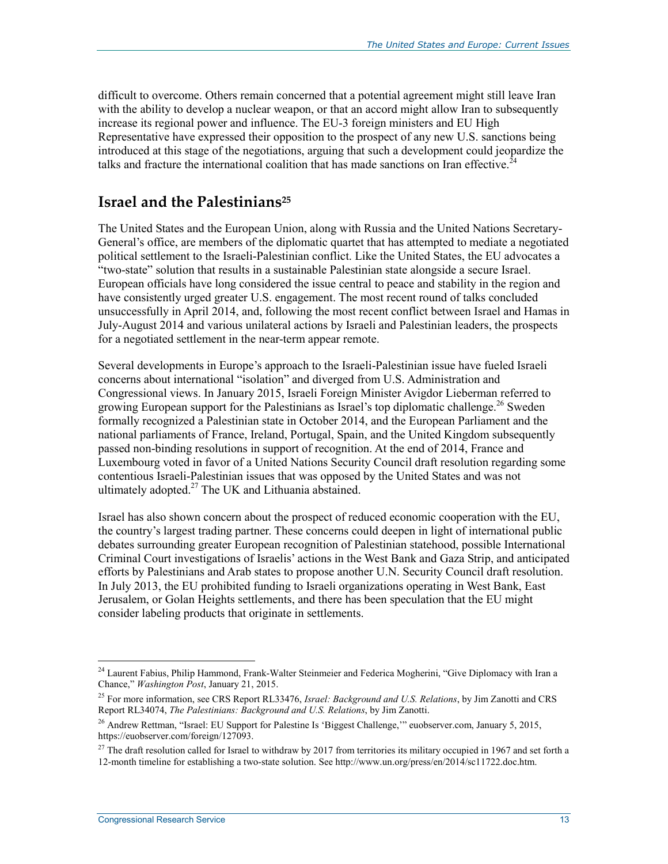difficult to overcome. Others remain concerned that a potential agreement might still leave Iran with the ability to develop a nuclear weapon, or that an accord might allow Iran to subsequently increase its regional power and influence. The EU-3 foreign ministers and EU High Representative have expressed their opposition to the prospect of any new U.S. sanctions being introduced at this stage of the negotiations, arguing that such a development could jeopardize the talks and fracture the international coalition that has made sanctions on Iran effective.<sup>24</sup>

#### **Israel and the Palestinians25**

The United States and the European Union, along with Russia and the United Nations Secretary-General's office, are members of the diplomatic quartet that has attempted to mediate a negotiated political settlement to the Israeli-Palestinian conflict. Like the United States, the EU advocates a "two-state" solution that results in a sustainable Palestinian state alongside a secure Israel. European officials have long considered the issue central to peace and stability in the region and have consistently urged greater U.S. engagement. The most recent round of talks concluded unsuccessfully in April 2014, and, following the most recent conflict between Israel and Hamas in July-August 2014 and various unilateral actions by Israeli and Palestinian leaders, the prospects for a negotiated settlement in the near-term appear remote.

Several developments in Europe's approach to the Israeli-Palestinian issue have fueled Israeli concerns about international "isolation" and diverged from U.S. Administration and Congressional views. In January 2015, Israeli Foreign Minister Avigdor Lieberman referred to growing European support for the Palestinians as Israel's top diplomatic challenge.<sup>26</sup> Sweden formally recognized a Palestinian state in October 2014, and the European Parliament and the national parliaments of France, Ireland, Portugal, Spain, and the United Kingdom subsequently passed non-binding resolutions in support of recognition. At the end of 2014, France and Luxembourg voted in favor of a United Nations Security Council draft resolution regarding some contentious Israeli-Palestinian issues that was opposed by the United States and was not ultimately adopted. $^{27}$  The UK and Lithuania abstained.

Israel has also shown concern about the prospect of reduced economic cooperation with the EU, the country's largest trading partner. These concerns could deepen in light of international public debates surrounding greater European recognition of Palestinian statehood, possible International Criminal Court investigations of Israelis' actions in the West Bank and Gaza Strip, and anticipated efforts by Palestinians and Arab states to propose another U.N. Security Council draft resolution. In July 2013, the EU prohibited funding to Israeli organizations operating in West Bank, East Jerusalem, or Golan Heights settlements, and there has been speculation that the EU might consider labeling products that originate in settlements.

<sup>&</sup>lt;sup>24</sup> Laurent Fabius, Philip Hammond, Frank-Walter Steinmeier and Federica Mogherini, "Give Diplomacy with Iran a Chance," *Washington Post*, January 21, 2015.

<sup>25</sup> For more information, see CRS Report RL33476, *Israel: Background and U.S. Relations*, by Jim Zanotti and CRS Report RL34074, *The Palestinians: Background and U.S. Relations*, by Jim Zanotti.

<sup>&</sup>lt;sup>26</sup> Andrew Rettman, "Israel: EU Support for Palestine Is 'Biggest Challenge," euobserver.com, January 5, 2015, https://euobserver.com/foreign/127093.

 $^{27}$  The draft resolution called for Israel to withdraw by 2017 from territories its military occupied in 1967 and set forth a 12-month timeline for establishing a two-state solution. See http://www.un.org/press/en/2014/sc11722.doc.htm.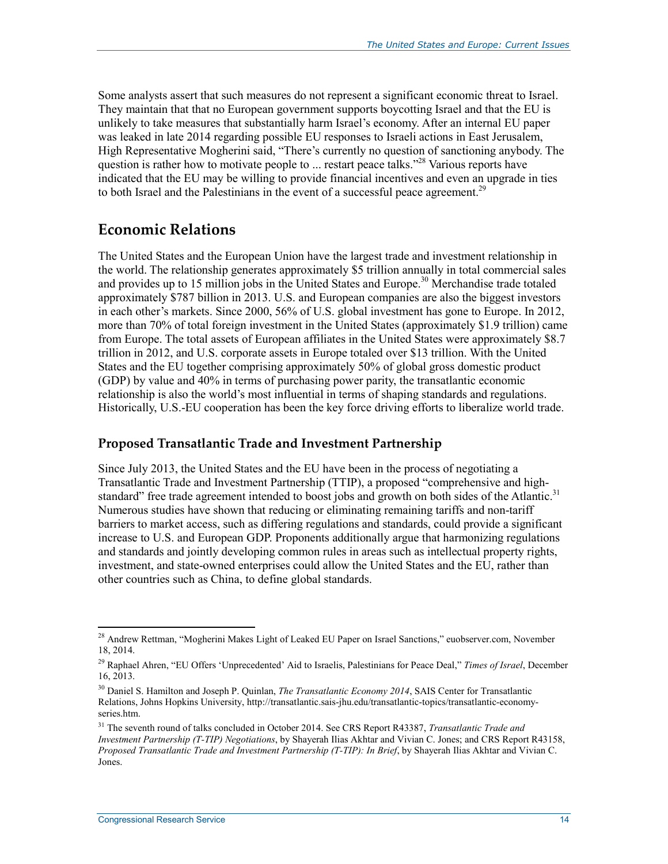Some analysts assert that such measures do not represent a significant economic threat to Israel. They maintain that that no European government supports boycotting Israel and that the EU is unlikely to take measures that substantially harm Israel's economy. After an internal EU paper was leaked in late 2014 regarding possible EU responses to Israeli actions in East Jerusalem, High Representative Mogherini said, "There's currently no question of sanctioning anybody. The question is rather how to motivate people to ... restart peace talks."<sup>28</sup> Various reports have indicated that the EU may be willing to provide financial incentives and even an upgrade in ties to both Israel and the Palestinians in the event of a successful peace agreement.<sup>29</sup>

#### **Economic Relations**

The United States and the European Union have the largest trade and investment relationship in the world. The relationship generates approximately \$5 trillion annually in total commercial sales and provides up to 15 million jobs in the United States and Europe.<sup>30</sup> Merchandise trade totaled approximately \$787 billion in 2013. U.S. and European companies are also the biggest investors in each other's markets. Since 2000, 56% of U.S. global investment has gone to Europe. In 2012, more than 70% of total foreign investment in the United States (approximately \$1.9 trillion) came from Europe. The total assets of European affiliates in the United States were approximately \$8.7 trillion in 2012, and U.S. corporate assets in Europe totaled over \$13 trillion. With the United States and the EU together comprising approximately 50% of global gross domestic product (GDP) by value and 40% in terms of purchasing power parity, the transatlantic economic relationship is also the world's most influential in terms of shaping standards and regulations. Historically, U.S.-EU cooperation has been the key force driving efforts to liberalize world trade.

#### **Proposed Transatlantic Trade and Investment Partnership**

Since July 2013, the United States and the EU have been in the process of negotiating a Transatlantic Trade and Investment Partnership (TTIP), a proposed "comprehensive and highstandard" free trade agreement intended to boost jobs and growth on both sides of the Atlantic.<sup>31</sup> Numerous studies have shown that reducing or eliminating remaining tariffs and non-tariff barriers to market access, such as differing regulations and standards, could provide a significant increase to U.S. and European GDP. Proponents additionally argue that harmonizing regulations and standards and jointly developing common rules in areas such as intellectual property rights, investment, and state-owned enterprises could allow the United States and the EU, rather than other countries such as China, to define global standards.

<u>.</u>

<sup>&</sup>lt;sup>28</sup> Andrew Rettman, "Mogherini Makes Light of Leaked EU Paper on Israel Sanctions," euobserver.com, November 18, 2014.

<sup>29</sup> Raphael Ahren, "EU Offers 'Unprecedented' Aid to Israelis, Palestinians for Peace Deal," *Times of Israel*, December 16, 2013.

<sup>30</sup> Daniel S. Hamilton and Joseph P. Quinlan, *The Transatlantic Economy 2014*, SAIS Center for Transatlantic Relations, Johns Hopkins University, http://transatlantic.sais-jhu.edu/transatlantic-topics/transatlantic-economyseries.htm.

<sup>31</sup> The seventh round of talks concluded in October 2014. See CRS Report R43387, *Transatlantic Trade and Investment Partnership (T-TIP) Negotiations*, by Shayerah Ilias Akhtar and Vivian C. Jones; and CRS Report R43158, *Proposed Transatlantic Trade and Investment Partnership (T-TIP): In Brief*, by Shayerah Ilias Akhtar and Vivian C. Jones.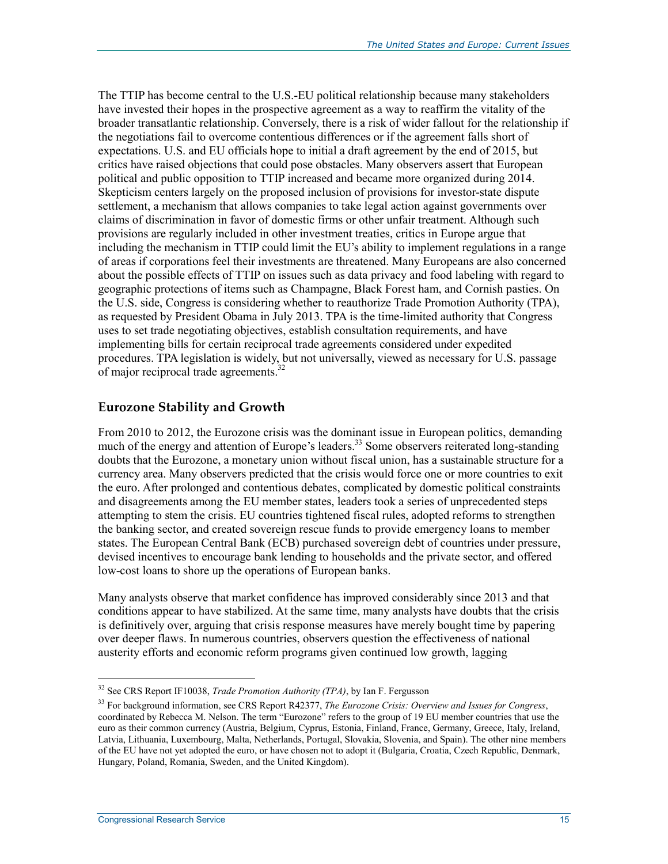The TTIP has become central to the U.S.-EU political relationship because many stakeholders have invested their hopes in the prospective agreement as a way to reaffirm the vitality of the broader transatlantic relationship. Conversely, there is a risk of wider fallout for the relationship if the negotiations fail to overcome contentious differences or if the agreement falls short of expectations. U.S. and EU officials hope to initial a draft agreement by the end of 2015, but critics have raised objections that could pose obstacles. Many observers assert that European political and public opposition to TTIP increased and became more organized during 2014. Skepticism centers largely on the proposed inclusion of provisions for investor-state dispute settlement, a mechanism that allows companies to take legal action against governments over claims of discrimination in favor of domestic firms or other unfair treatment. Although such provisions are regularly included in other investment treaties, critics in Europe argue that including the mechanism in TTIP could limit the EU's ability to implement regulations in a range of areas if corporations feel their investments are threatened. Many Europeans are also concerned about the possible effects of TTIP on issues such as data privacy and food labeling with regard to geographic protections of items such as Champagne, Black Forest ham, and Cornish pasties. On the U.S. side, Congress is considering whether to reauthorize Trade Promotion Authority (TPA), as requested by President Obama in July 2013. TPA is the time-limited authority that Congress uses to set trade negotiating objectives, establish consultation requirements, and have implementing bills for certain reciprocal trade agreements considered under expedited procedures. TPA legislation is widely, but not universally, viewed as necessary for U.S. passage of major reciprocal trade agreements.<sup>32</sup>

#### **Eurozone Stability and Growth**

From 2010 to 2012, the Eurozone crisis was the dominant issue in European politics, demanding much of the energy and attention of Europe's leaders.<sup>33</sup> Some observers reiterated long-standing doubts that the Eurozone, a monetary union without fiscal union, has a sustainable structure for a currency area. Many observers predicted that the crisis would force one or more countries to exit the euro. After prolonged and contentious debates, complicated by domestic political constraints and disagreements among the EU member states, leaders took a series of unprecedented steps attempting to stem the crisis. EU countries tightened fiscal rules, adopted reforms to strengthen the banking sector, and created sovereign rescue funds to provide emergency loans to member states. The European Central Bank (ECB) purchased sovereign debt of countries under pressure, devised incentives to encourage bank lending to households and the private sector, and offered low-cost loans to shore up the operations of European banks.

Many analysts observe that market confidence has improved considerably since 2013 and that conditions appear to have stabilized. At the same time, many analysts have doubts that the crisis is definitively over, arguing that crisis response measures have merely bought time by papering over deeper flaws. In numerous countries, observers question the effectiveness of national austerity efforts and economic reform programs given continued low growth, lagging

<sup>32</sup> See CRS Report IF10038, *Trade Promotion Authority (TPA)*, by Ian F. Fergusson

<sup>33</sup> For background information, see CRS Report R42377, *The Eurozone Crisis: Overview and Issues for Congress*, coordinated by Rebecca M. Nelson. The term "Eurozone" refers to the group of 19 EU member countries that use the euro as their common currency (Austria, Belgium, Cyprus, Estonia, Finland, France, Germany, Greece, Italy, Ireland, Latvia, Lithuania, Luxembourg, Malta, Netherlands, Portugal, Slovakia, Slovenia, and Spain). The other nine members of the EU have not yet adopted the euro, or have chosen not to adopt it (Bulgaria, Croatia, Czech Republic, Denmark, Hungary, Poland, Romania, Sweden, and the United Kingdom).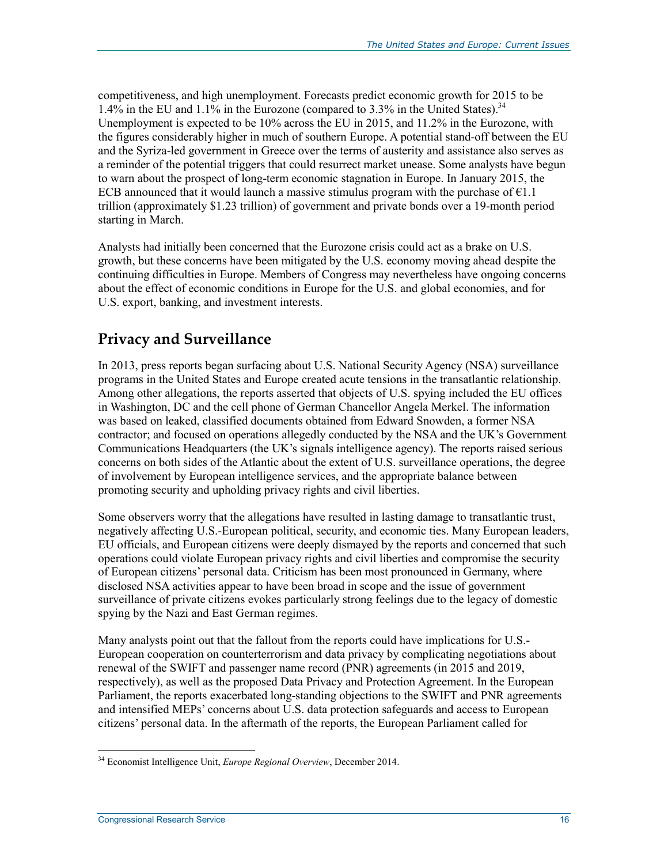competitiveness, and high unemployment. Forecasts predict economic growth for 2015 to be 1.4% in the EU and 1.1% in the Eurozone (compared to 3.3% in the United States).<sup>34</sup> Unemployment is expected to be 10% across the EU in 2015, and 11.2% in the Eurozone, with the figures considerably higher in much of southern Europe. A potential stand-off between the EU and the Syriza-led government in Greece over the terms of austerity and assistance also serves as a reminder of the potential triggers that could resurrect market unease. Some analysts have begun to warn about the prospect of long-term economic stagnation in Europe. In January 2015, the ECB announced that it would launch a massive stimulus program with the purchase of  $E1.1$ trillion (approximately \$1.23 trillion) of government and private bonds over a 19-month period starting in March.

Analysts had initially been concerned that the Eurozone crisis could act as a brake on U.S. growth, but these concerns have been mitigated by the U.S. economy moving ahead despite the continuing difficulties in Europe. Members of Congress may nevertheless have ongoing concerns about the effect of economic conditions in Europe for the U.S. and global economies, and for U.S. export, banking, and investment interests.

### **Privacy and Surveillance**

In 2013, press reports began surfacing about U.S. National Security Agency (NSA) surveillance programs in the United States and Europe created acute tensions in the transatlantic relationship. Among other allegations, the reports asserted that objects of U.S. spying included the EU offices in Washington, DC and the cell phone of German Chancellor Angela Merkel. The information was based on leaked, classified documents obtained from Edward Snowden, a former NSA contractor; and focused on operations allegedly conducted by the NSA and the UK's Government Communications Headquarters (the UK's signals intelligence agency). The reports raised serious concerns on both sides of the Atlantic about the extent of U.S. surveillance operations, the degree of involvement by European intelligence services, and the appropriate balance between promoting security and upholding privacy rights and civil liberties.

Some observers worry that the allegations have resulted in lasting damage to transatlantic trust, negatively affecting U.S.-European political, security, and economic ties. Many European leaders, EU officials, and European citizens were deeply dismayed by the reports and concerned that such operations could violate European privacy rights and civil liberties and compromise the security of European citizens' personal data. Criticism has been most pronounced in Germany, where disclosed NSA activities appear to have been broad in scope and the issue of government surveillance of private citizens evokes particularly strong feelings due to the legacy of domestic spying by the Nazi and East German regimes.

Many analysts point out that the fallout from the reports could have implications for U.S.- European cooperation on counterterrorism and data privacy by complicating negotiations about renewal of the SWIFT and passenger name record (PNR) agreements (in 2015 and 2019, respectively), as well as the proposed Data Privacy and Protection Agreement. In the European Parliament, the reports exacerbated long-standing objections to the SWIFT and PNR agreements and intensified MEPs' concerns about U.S. data protection safeguards and access to European citizens' personal data. In the aftermath of the reports, the European Parliament called for

<sup>&</sup>lt;u>.</u> 34 Economist Intelligence Unit, *Europe Regional Overview*, December 2014.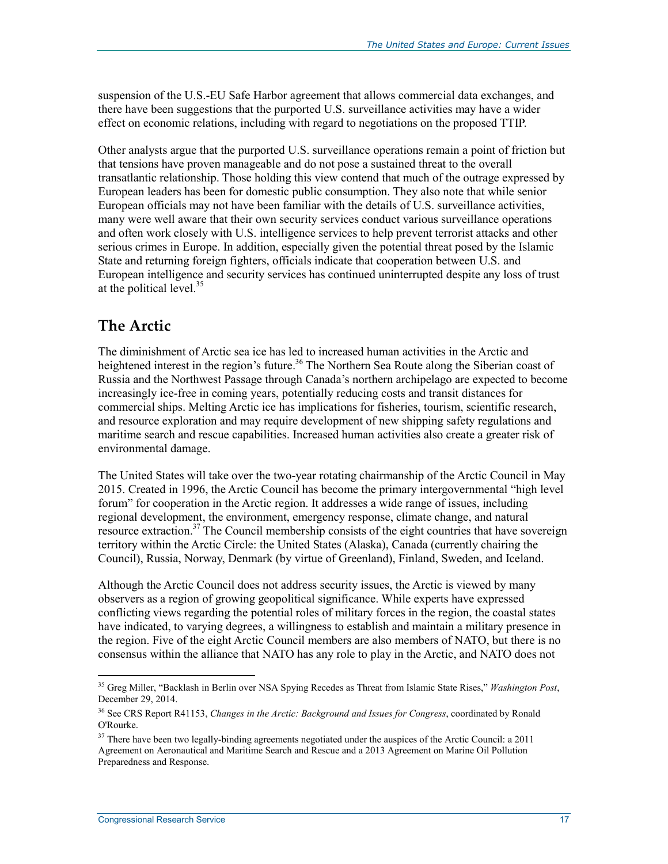suspension of the U.S.-EU Safe Harbor agreement that allows commercial data exchanges, and there have been suggestions that the purported U.S. surveillance activities may have a wider effect on economic relations, including with regard to negotiations on the proposed TTIP.

Other analysts argue that the purported U.S. surveillance operations remain a point of friction but that tensions have proven manageable and do not pose a sustained threat to the overall transatlantic relationship. Those holding this view contend that much of the outrage expressed by European leaders has been for domestic public consumption. They also note that while senior European officials may not have been familiar with the details of U.S. surveillance activities, many were well aware that their own security services conduct various surveillance operations and often work closely with U.S. intelligence services to help prevent terrorist attacks and other serious crimes in Europe. In addition, especially given the potential threat posed by the Islamic State and returning foreign fighters, officials indicate that cooperation between U.S. and European intelligence and security services has continued uninterrupted despite any loss of trust at the political level.<sup>35</sup>

#### **The Arctic**

The diminishment of Arctic sea ice has led to increased human activities in the Arctic and heightened interest in the region's future.<sup>36</sup> The Northern Sea Route along the Siberian coast of Russia and the Northwest Passage through Canada's northern archipelago are expected to become increasingly ice-free in coming years, potentially reducing costs and transit distances for commercial ships. Melting Arctic ice has implications for fisheries, tourism, scientific research, and resource exploration and may require development of new shipping safety regulations and maritime search and rescue capabilities. Increased human activities also create a greater risk of environmental damage.

The United States will take over the two-year rotating chairmanship of the Arctic Council in May 2015. Created in 1996, the Arctic Council has become the primary intergovernmental "high level forum" for cooperation in the Arctic region. It addresses a wide range of issues, including regional development, the environment, emergency response, climate change, and natural resource extraction.<sup>37</sup> The Council membership consists of the eight countries that have sovereign territory within the Arctic Circle: the United States (Alaska), Canada (currently chairing the Council), Russia, Norway, Denmark (by virtue of Greenland), Finland, Sweden, and Iceland.

Although the Arctic Council does not address security issues, the Arctic is viewed by many observers as a region of growing geopolitical significance. While experts have expressed conflicting views regarding the potential roles of military forces in the region, the coastal states have indicated, to varying degrees, a willingness to establish and maintain a military presence in the region. Five of the eight Arctic Council members are also members of NATO, but there is no consensus within the alliance that NATO has any role to play in the Arctic, and NATO does not

<sup>35</sup> Greg Miller, "Backlash in Berlin over NSA Spying Recedes as Threat from Islamic State Rises," *Washington Post*, December 29, 2014.

<sup>36</sup> See CRS Report R41153, *Changes in the Arctic: Background and Issues for Congress*, coordinated by Ronald O'Rourke.

<sup>&</sup>lt;sup>37</sup> There have been two legally-binding agreements negotiated under the auspices of the Arctic Council: a 2011 Agreement on Aeronautical and Maritime Search and Rescue and a 2013 Agreement on Marine Oil Pollution Preparedness and Response.